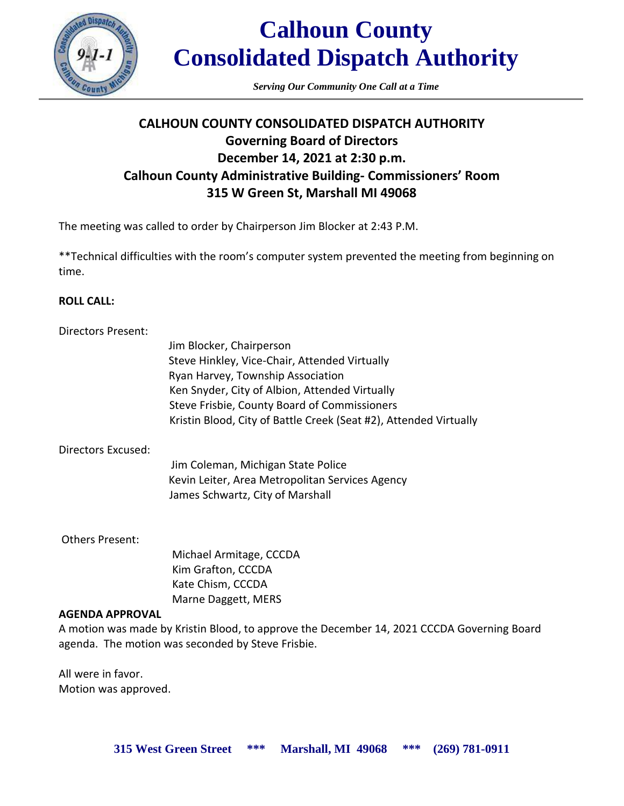

*Serving Our Community One Call at a Time*

# **CALHOUN COUNTY CONSOLIDATED DISPATCH AUTHORITY Governing Board of Directors December 14, 2021 at 2:30 p.m. Calhoun County Administrative Building- Commissioners' Room 315 W Green St, Marshall MI 49068**

The meeting was called to order by Chairperson Jim Blocker at 2:43 P.M.

\*\*Technical difficulties with the room's computer system prevented the meeting from beginning on time.

# **ROLL CALL:**

| Directors Present: |                                                                   |
|--------------------|-------------------------------------------------------------------|
|                    | Jim Blocker, Chairperson                                          |
|                    | Steve Hinkley, Vice-Chair, Attended Virtually                     |
|                    | Ryan Harvey, Township Association                                 |
|                    | Ken Snyder, City of Albion, Attended Virtually                    |
|                    | Steve Frisbie, County Board of Commissioners                      |
|                    | Kristin Blood, City of Battle Creek (Seat #2), Attended Virtually |
| Directors Excused: |                                                                   |
|                    | Jim Coleman, Michigan State Police                                |

Kevin Leiter, Area Metropolitan Services Agency James Schwartz, City of Marshall

Others Present:

 Michael Armitage, CCCDA Kim Grafton, CCCDA Kate Chism, CCCDA Marne Daggett, MERS

# **AGENDA APPROVAL**

A motion was made by Kristin Blood, to approve the December 14, 2021 CCCDA Governing Board agenda. The motion was seconded by Steve Frisbie.

All were in favor. Motion was approved.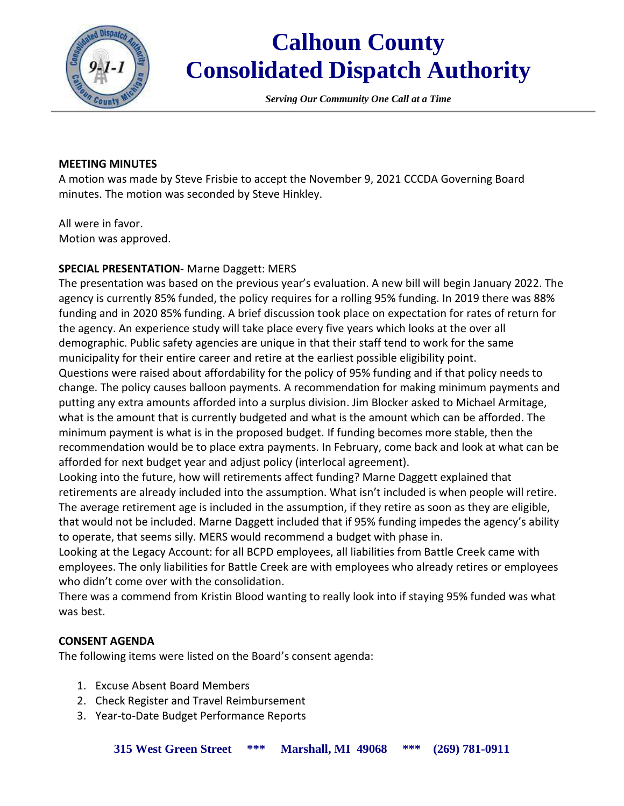

*Serving Our Community One Call at a Time*

#### **MEETING MINUTES**

A motion was made by Steve Frisbie to accept the November 9, 2021 CCCDA Governing Board minutes. The motion was seconded by Steve Hinkley.

All were in favor. Motion was approved.

# **SPECIAL PRESENTATION**- Marne Daggett: MERS

The presentation was based on the previous year's evaluation. A new bill will begin January 2022. The agency is currently 85% funded, the policy requires for a rolling 95% funding. In 2019 there was 88% funding and in 2020 85% funding. A brief discussion took place on expectation for rates of return for the agency. An experience study will take place every five years which looks at the over all demographic. Public safety agencies are unique in that their staff tend to work for the same municipality for their entire career and retire at the earliest possible eligibility point. Questions were raised about affordability for the policy of 95% funding and if that policy needs to change. The policy causes balloon payments. A recommendation for making minimum payments and putting any extra amounts afforded into a surplus division. Jim Blocker asked to Michael Armitage, what is the amount that is currently budgeted and what is the amount which can be afforded. The minimum payment is what is in the proposed budget. If funding becomes more stable, then the recommendation would be to place extra payments. In February, come back and look at what can be afforded for next budget year and adjust policy (interlocal agreement).

Looking into the future, how will retirements affect funding? Marne Daggett explained that retirements are already included into the assumption. What isn't included is when people will retire. The average retirement age is included in the assumption, if they retire as soon as they are eligible, that would not be included. Marne Daggett included that if 95% funding impedes the agency's ability to operate, that seems silly. MERS would recommend a budget with phase in.

Looking at the Legacy Account: for all BCPD employees, all liabilities from Battle Creek came with employees. The only liabilities for Battle Creek are with employees who already retires or employees who didn't come over with the consolidation.

There was a commend from Kristin Blood wanting to really look into if staying 95% funded was what was best.

# **CONSENT AGENDA**

The following items were listed on the Board's consent agenda:

- 1. Excuse Absent Board Members
- 2. Check Register and Travel Reimbursement
- 3. Year-to-Date Budget Performance Reports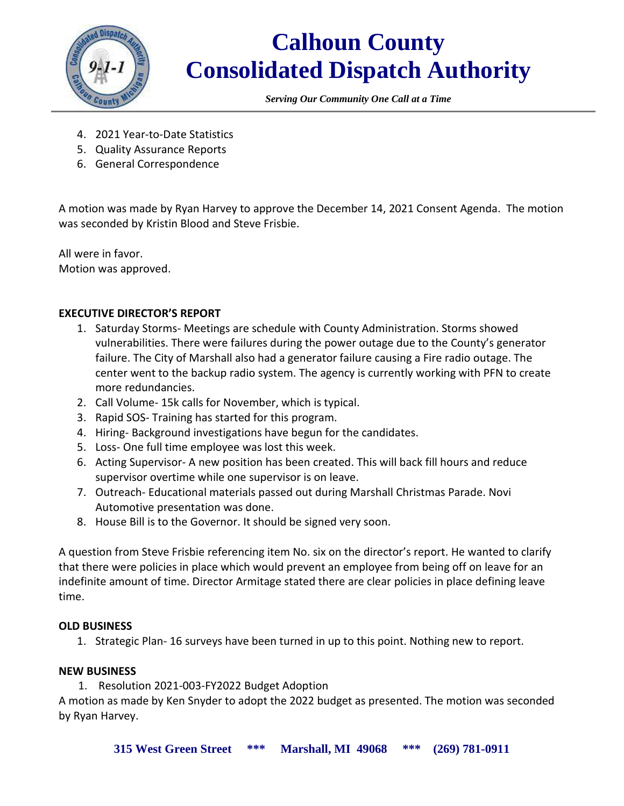

*Serving Our Community One Call at a Time*

- 4. 2021 Year-to-Date Statistics
- 5. Quality Assurance Reports
- 6. General Correspondence

A motion was made by Ryan Harvey to approve the December 14, 2021 Consent Agenda. The motion was seconded by Kristin Blood and Steve Frisbie.

All were in favor. Motion was approved.

# **EXECUTIVE DIRECTOR'S REPORT**

- 1. Saturday Storms- Meetings are schedule with County Administration. Storms showed vulnerabilities. There were failures during the power outage due to the County's generator failure. The City of Marshall also had a generator failure causing a Fire radio outage. The center went to the backup radio system. The agency is currently working with PFN to create more redundancies.
- 2. Call Volume- 15k calls for November, which is typical.
- 3. Rapid SOS- Training has started for this program.
- 4. Hiring- Background investigations have begun for the candidates.
- 5. Loss- One full time employee was lost this week.
- 6. Acting Supervisor- A new position has been created. This will back fill hours and reduce supervisor overtime while one supervisor is on leave.
- 7. Outreach- Educational materials passed out during Marshall Christmas Parade. Novi Automotive presentation was done.
- 8. House Bill is to the Governor. It should be signed very soon.

A question from Steve Frisbie referencing item No. six on the director's report. He wanted to clarify that there were policies in place which would prevent an employee from being off on leave for an indefinite amount of time. Director Armitage stated there are clear policies in place defining leave time.

# **OLD BUSINESS**

1. Strategic Plan- 16 surveys have been turned in up to this point. Nothing new to report.

# **NEW BUSINESS**

1. Resolution 2021-003-FY2022 Budget Adoption

A motion as made by Ken Snyder to adopt the 2022 budget as presented. The motion was seconded by Ryan Harvey.